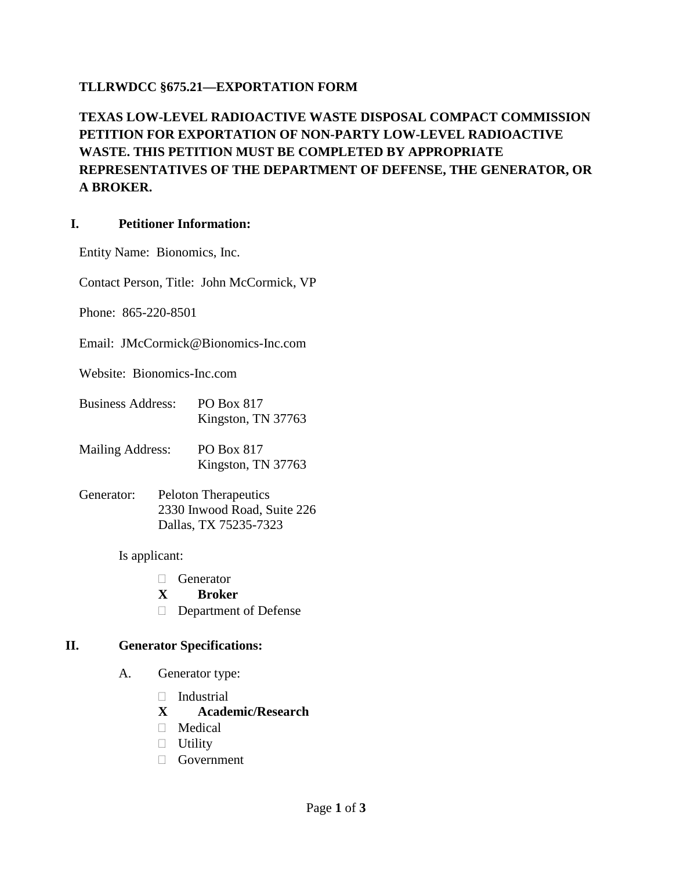### **TLLRWDCC §675.21—EXPORTATION FORM**

## **TEXAS LOW-LEVEL RADIOACTIVE WASTE DISPOSAL COMPACT COMMISSION PETITION FOR EXPORTATION OF NON-PARTY LOW-LEVEL RADIOACTIVE WASTE. THIS PETITION MUST BE COMPLETED BY APPROPRIATE REPRESENTATIVES OF THE DEPARTMENT OF DEFENSE, THE GENERATOR, OR A BROKER.**

#### **I. Petitioner Information:**

Entity Name: Bionomics, Inc.

Contact Person, Title: John McCormick, VP

Phone: 865-220-8501

Email: JMcCormick@Bionomics-Inc.com

Website: Bionomics-Inc.com

- Business Address: PO Box 817 Kingston, TN 37763
- Mailing Address: PO Box 817 Kingston, TN 37763
- Generator: Peloton Therapeutics 2330 Inwood Road, Suite 226 Dallas, TX 75235-7323

Is applicant:

- Generator
- **X Broker**
- Department of Defense

#### **II. Generator Specifications:**

- A. Generator type:
	- Industrial
	- **X Academic/Research**
	- □ Medical
	- **Utility**
	- □ Government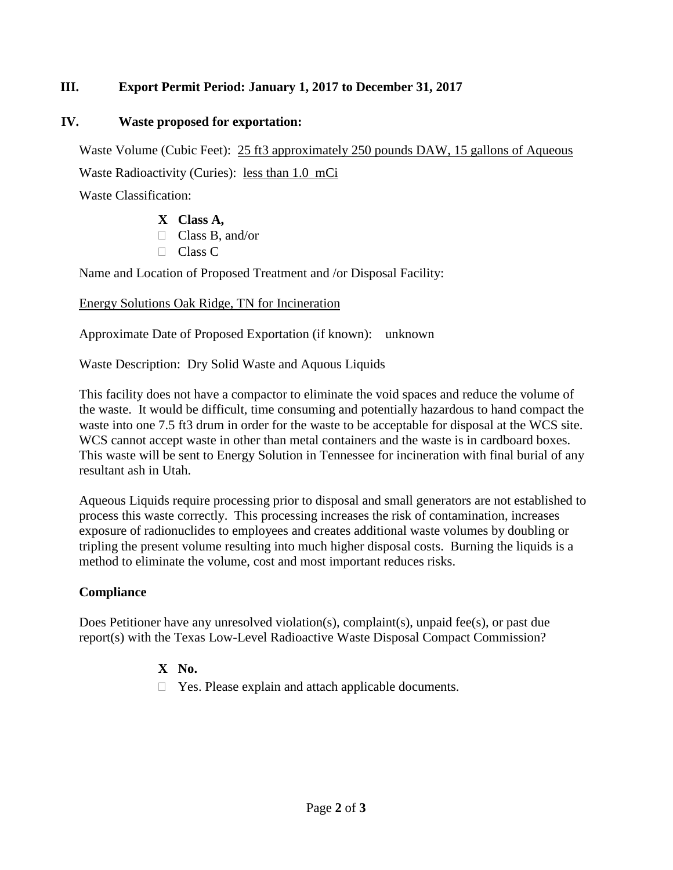### **III. Export Permit Period: January 1, 2017 to December 31, 2017**

#### **IV. Waste proposed for exportation:**

Waste Volume (Cubic Feet): 25 ft3 approximately 250 pounds DAW, 15 gallons of Aqueous

Waste Radioactivity (Curies): less than 1.0 mCi

Waste Classification:

#### **X Class A,**

- Class B, and/or
- □ Class C

Name and Location of Proposed Treatment and /or Disposal Facility:

Energy Solutions Oak Ridge, TN for Incineration

Approximate Date of Proposed Exportation (if known): unknown

Waste Description: Dry Solid Waste and Aquous Liquids

This facility does not have a compactor to eliminate the void spaces and reduce the volume of the waste. It would be difficult, time consuming and potentially hazardous to hand compact the waste into one 7.5 ft3 drum in order for the waste to be acceptable for disposal at the WCS site. WCS cannot accept waste in other than metal containers and the waste is in cardboard boxes. This waste will be sent to Energy Solution in Tennessee for incineration with final burial of any resultant ash in Utah.

Aqueous Liquids require processing prior to disposal and small generators are not established to process this waste correctly. This processing increases the risk of contamination, increases exposure of radionuclides to employees and creates additional waste volumes by doubling or tripling the present volume resulting into much higher disposal costs. Burning the liquids is a method to eliminate the volume, cost and most important reduces risks.

#### **Compliance**

Does Petitioner have any unresolved violation(s), complaint(s), unpaid fee(s), or past due report(s) with the Texas Low-Level Radioactive Waste Disposal Compact Commission?

#### **X No.**

Yes. Please explain and attach applicable documents.